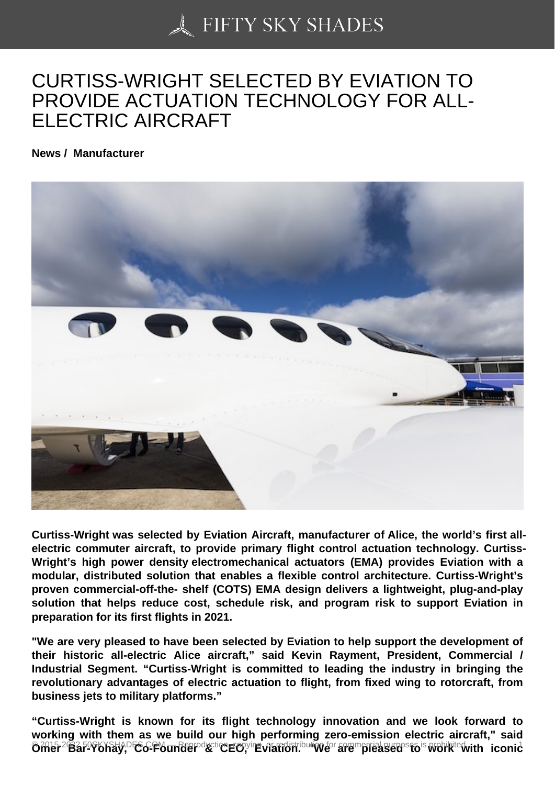## [CURTISS-WRIGHT SE](https://50skyshades.com)LECTED BY EVIATION TO PROVIDE ACTUATION TECHNOLOGY FOR ALL-ELECTRIC AIRCRAFT

News / Manufacturer

Curtiss-Wright was selected by Eviation Aircraft, manufacturer of Alice, the world's first allelectric commuter aircraft, to provide primary flight control actuation technology. Curtiss-Wright's high power density electromechanical actuators (EMA) provides Eviation with a modular, distributed solution that enables a flexible control architecture. Curtiss-Wright's proven commercial-off-the- shelf (COTS) EMA design delivers a lightweight, plug-and-play solution that helps reduce cost, schedule risk, and program risk to support Eviation in preparation for its first flights in 2021.

"We are very pleased to have been selected by Eviation to help support the development of their historic all-electric Alice aircraft," said Kevin Rayment, President, Commercial / Industrial Segment. "Curtiss-Wright is committed to leading the industry in bringing the revolutionary advantages of electric actuation to flight, from fixed wing to rotorcraft, from business jets to military platforms."

"Curtiss-Wright is known for its flight technology innovation and we look forward to working with them as we build our high performing zero-emission electric aircraft," said **Omer Bar-Yohay, Co-Founder & Cover Copyright is a construction for competition for commercial purposes is prohibited. iconic**